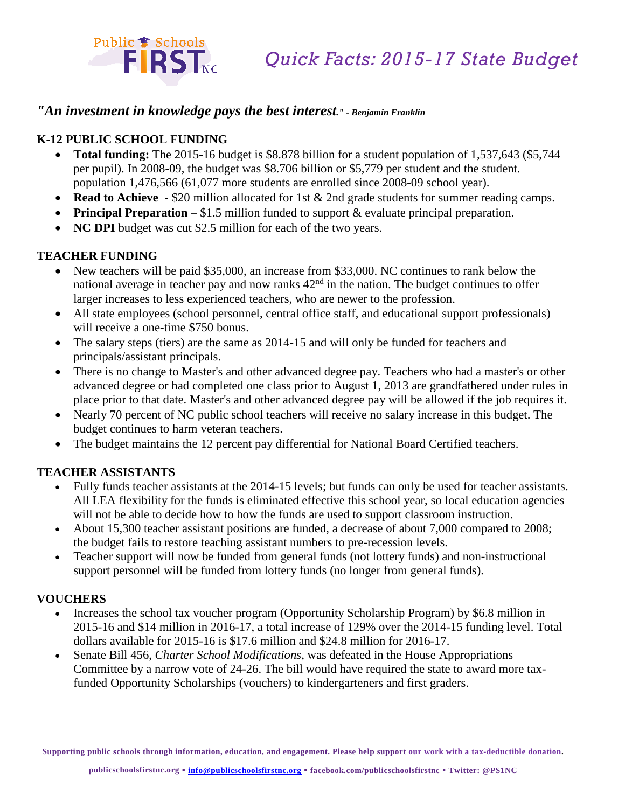

# *"An investment in knowledge pays the best interest." - Benjamin Franklin*

### **K-12 PUBLIC SCHOOL FUNDING**

Public S Schools<br>FIRST

- **Total funding:** The 2015-16 budget is \$8.878 billion for a student population of 1,537,643 (\$5,744 per pupil). In 2008-09, the budget was \$8.706 billion or \$5,779 per student and the student. population 1,476,566 (61,077 more students are enrolled since 2008-09 school year).
- **Read to Achieve** \$20 million allocated for 1st & 2nd grade students for summer reading camps.
- **Principal Preparation** \$1.5 million funded to support & evaluate principal preparation.
- **NC DPI** budget was cut \$2.5 million for each of the two years.

#### **TEACHER FUNDING**

- New teachers will be paid \$35,000, an increase from \$33,000. NC continues to rank below the national average in teacher pay and now ranks  $42<sup>nd</sup>$  in the nation. The budget continues to offer larger increases to less experienced teachers, who are newer to the profession.
- All state employees (school personnel, central office staff, and educational support professionals) will receive a one-time \$750 bonus.
- The salary steps (tiers) are the same as 2014-15 and will only be funded for teachers and principals/assistant principals.
- There is no change to Master's and other advanced degree pay. Teachers who had a master's or other advanced degree or had completed one class prior to August 1, 2013 are grandfathered under rules in place prior to that date. Master's and other advanced degree pay will be allowed if the job requires it.
- Nearly 70 percent of NC public school teachers will receive no salary increase in this budget. The budget continues to harm veteran teachers.
- The budget maintains the 12 percent pay differential for National Board Certified teachers.

### **TEACHER ASSISTANTS**

- Fully funds teacher assistants at the 2014-15 levels; but funds can only be used for teacher assistants. All LEA flexibility for the funds is eliminated effective this school year, so local education agencies will not be able to decide how to how the funds are used to support classroom instruction.
- About 15,300 teacher assistant positions are funded, a decrease of about 7,000 compared to 2008; the budget fails to restore teaching assistant numbers to pre-recession levels.
- Teacher support will now be funded from general funds (not lottery funds) and non-instructional support personnel will be funded from lottery funds (no longer from general funds).

#### **VOUCHERS**

- Increases the school tax voucher program (Opportunity Scholarship Program) by \$6.8 million in 2015-16 and \$14 million in 2016-17, a total increase of 129% over the 2014-15 funding level. Total dollars available for 2015-16 is \$17.6 million and \$24.8 million for 2016-17.
- Senate Bill 456, *Charter School Modifications*, was defeated in the House Appropriations Committee by a narrow vote of 24-26. The bill would have required the state to award more taxfunded Opportunity Scholarships (vouchers) to kindergarteners and first graders.

**Supporting public schools through information, education, and engagement. Please help support our work with a tax-deductible donation.**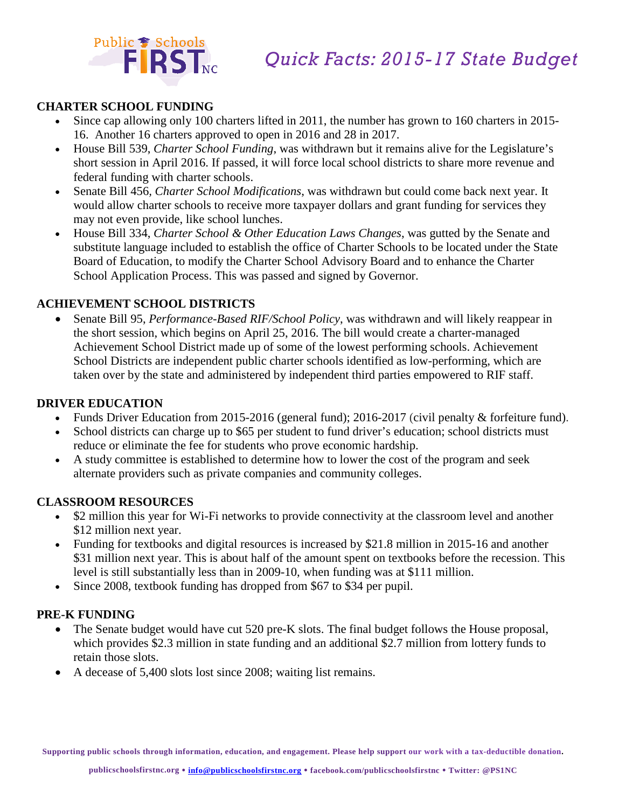



### **CHARTER SCHOOL FUNDING**

- Since cap allowing only 100 charters lifted in 2011, the number has grown to 160 charters in 2015- 16. Another 16 charters approved to open in 2016 and 28 in 2017.
- House Bill 539, *Charter School Funding*, was withdrawn but it remains alive for the Legislature's short session in April 2016. If passed, it will force local school districts to share more revenue and federal funding with charter schools.
- Senate Bill 456*, Charter School Modifications*, was withdrawn but could come back next year. It would allow charter schools to receive more taxpayer dollars and grant funding for services they may not even provide, like school lunches.
- House Bill 334, *Charter School & Other Education Laws Changes*, was gutted by the Senate and substitute language included to establish the office of Charter Schools to be located under the State Board of Education, to modify the Charter School Advisory Board and to enhance the Charter School Application Process. This was passed and signed by Governor.

### **ACHIEVEMENT SCHOOL DISTRICTS**

• Senate Bill 95, *Performance-Based RIF/School Policy*, was withdrawn and will likely reappear in the short session, which begins on April 25, 2016. The bill would create a charter-managed Achievement School District made up of some of the lowest performing schools. Achievement School Districts are independent public charter schools identified as low-performing, which are taken over by the state and administered by independent third parties empowered to RIF staff.

#### **DRIVER EDUCATION**

- Funds Driver Education from 2015-2016 (general fund); 2016-2017 (civil penalty & forfeiture fund).
- School districts can charge up to \$65 per student to fund driver's education; school districts must reduce or eliminate the fee for students who prove economic hardship.
- A study committee is established to determine how to lower the cost of the program and seek alternate providers such as private companies and community colleges.

### **CLASSROOM RESOURCES**

- \$2 million this year for Wi-Fi networks to provide connectivity at the classroom level and another \$12 million next year.
- Funding for textbooks and digital resources is increased by \$21.8 million in 2015-16 and another \$31 million next year. This is about half of the amount spent on textbooks before the recession. This level is still substantially less than in 2009-10, when funding was at \$111 million.
- Since 2008, textbook funding has dropped from \$67 to \$34 per pupil.

## **PRE-K FUNDING**

- The Senate budget would have cut 520 pre-K slots. The final budget follows the House proposal, which provides \$2.3 million in state funding and an additional \$2.7 million from lottery funds to retain those slots.
- A decease of 5,400 slots lost since 2008; waiting list remains.